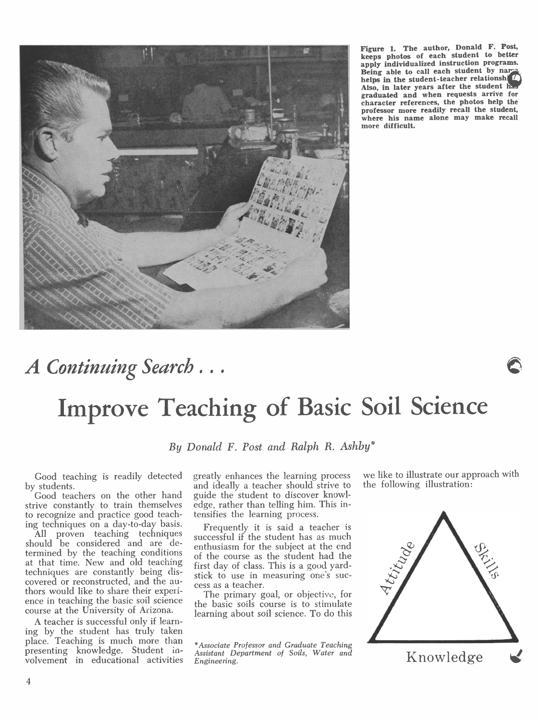

Figure 1. The author, Donald F. Post, keeps photos of each student to better apply individualized instruction programs.<br>Being able to call each student by narea helps in the student-teacher relationsh Also, in later years after the student has graduated and when requests arrive for character references, the photos help the professor more readily recall the student, where his name alone may make recall more difficult.

## A Continuing Search ...



## Improve Teaching of Basic Soil Science

By Donald F. Post and Ralph R. Ashby\*

Good teaching is readily detected<br>by students.

strive constantly to train themselves to recognize and practice good teaching techniques on a day-to-day basis.

All proven teaching techniques<br>should be considered and are determined by the teaching conditions<br>at that time. New and old teaching<br>first day of class. This is a good vardtechniques are constantly being discovered or reconstructed, and the authors would like to share their experience in teaching the basic soil science course at the University of Arizona.

A teacher is successful only if learning by the student has truly taken place. Teaching is much more than . Associate Professor and Graduate Teaching presenting knowledge. Student involvement in educational activities

Good teachers on the other hand guide the student to discover knowl-<br>rive constantly to train themselves edge, rather than telling him. This ingreatly enhances the learning process and ideally a teacher should strive to tensifies the learning process.

> Frequently it is said a teacher is<br>ccessful if the student has as much<br>thusiasm for the subject at the end<br>the course as the student had the<br>st day of class. This is a good yard-<br>ick to use in measuring one's suc-<br>ss as a successful if the student has as much enthusiasm for the subject at the end first day of class. This is a good yard- stick to use in measuring one's success as a teacher.

The primary goal, or objective, for the basic soils course is to stimulate learning about soil science. To do this

Assistant Department of Soils, Water and Engineering.

we like to illustrate our approach with the following illustration:

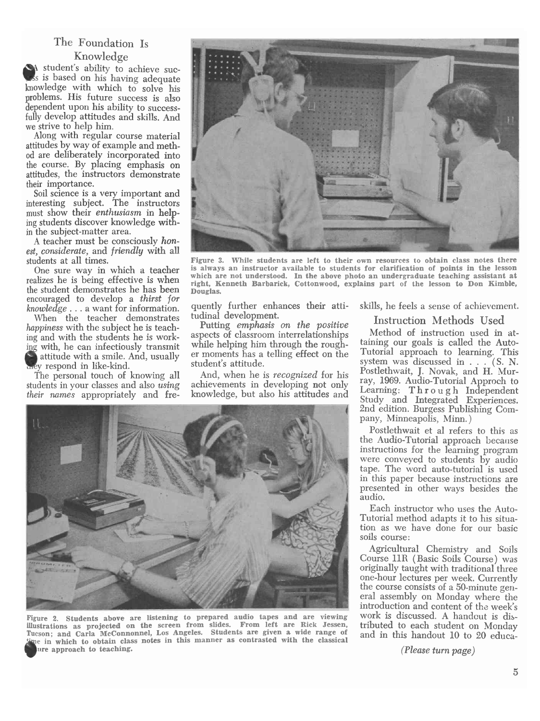## The Foundation Is Knowledge

A student's ability to achieve sucs is based on his having adequate knowledge with which to solve his problems. His future success is also dependent upon his ability to successfully develop attitudes and skills. And we strive to help him.

Along with regular course material attitudes by way of example and method are deliberately incorporated into the course. By placing emphasis on attitudes, the instructors demonstrate

Soil science is a very important and interesting subject. The instructors must show their enthusiasm in helping students discover knowledge within the subject-matter area.

A teacher must be consciously honest, considerate, and friendly with all students at all times.

realizes he is being effective is when the student demonstrates he has been  $\frac{1.5}{2}$  pouglas. encouraged to develop a thirst for  $k$ nowledge  $\ldots$  a want for information. quently turther enhancement.

When the teacher demonstrates happiness with the subject he is teaching and with the students he is working with, he can infectiously transmit attitude with a smile. And, usually Ley respond in like-kind.

The personal touch of knowing all students in your classes and also using their names appropriately and fre-



One sure way in which a teacher is always an instructor available to students for clarification of points in the lesson<br>clipse he is being effective is whon which are not understood. In the above photo an undergraduate tea Figure 3. While students are left to their own resources to obtain class notes there right, Kenneth Barbarick, Cottonwood, explains part of the lesson to Don Kimble,

quently further enhances their atti-

Putting emphasis on the positive aspects of classroom interrelationships while helping him through the roughstudent's attitude.

achievements in developing not only knowledge, but also his attitudes and



Figure 2. Students above are listening to prepared audio tapes and are viewing illustrations as projected on the screen from slides. From left are Rick Jessen, Tucson; and Carla McConnonnel, Los Angeles. Students are given a wide range of le in which to obtain class notes in this manner as contrasted with the classical ure approach to teaching.

skills, he feels a sense of achievement.

Instruction Methods Used

er moments has a telling effect on the Tutorial approach to learning. This And, when he is *recognized* for his result wand, J. Novak, and H. Mur-Method of instruction used in attaining our goals is called the Autosystem was discussed in . . . (S. N. Postlethwait, J. Novak, and H. Mur-Learning: Through Independent<br>Study and Integrated Experiences.<br>2nd edition. Burgess Publishing Company, Minneapolis, Minn. )

> Postlethwait et al refers to this as the Audio-Tutorial approach because instructions for the learning program were conveyed to students by audio tape. The word auto-tutorial is used in this paper because instructions are presented in other ways besides the audio.

> Each instructor who uses the Auto-Tutorial method adapts it to his situation as we have done for our basic soils course:

> Agricultural Chemistry and Soils Course 11R (Basic Soils Course) was originally taught with traditional three one-hour lectures per week. Currently<br>the course consists of a 50-minute general assembly on Monday where the introduction and content of the week's work is discussed. A handout is distributed to each student on Monday and in this handout 10 to 20 educa-

> > (Please turn page)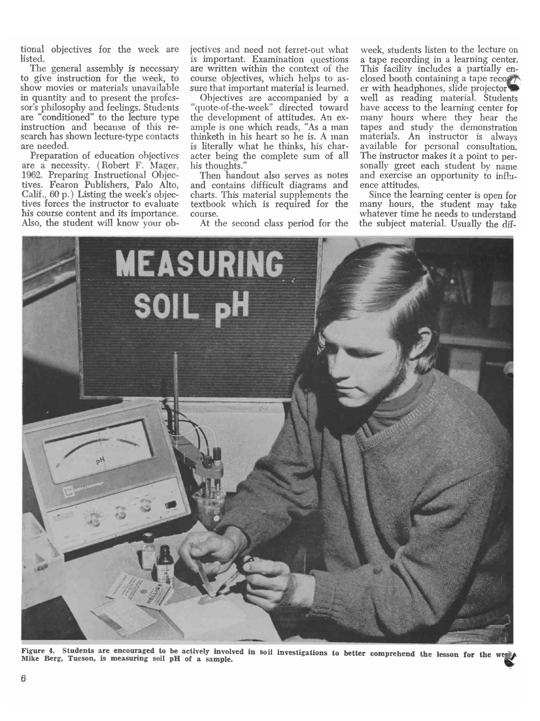tional objectives for the week are jectives and need not ferret-out what listed.

to give instruction for the week, to show movies or materials unavailable sure that important material is learned.<br>in quantity and to present the profes- Objectives are accompanied by a in quantity and to present the professor's philosophy and feelings. Students are "conditioned" to the lecture type instruction and because of this research has shown lecture -type contacts are needed.<br>Preparation of education objectives

Preparation of education objectives acter being the complete sum of all<br>are a necessity. (Robert F. Mager, his thoughts."<br>1962. Preparing Instructional Objec- Then handout also serves as notes tives. Fearon Publishers, Palo Alto, Calif., 60 p.) Listing the week's objectives forces the instructor to evaluate his course content and its importance. Also, the student will know your ob-

The general assembly is necessary are written within the context of the is important. Examination questions a tape recording in a learning center. course objectives, which helps to assure that important material is learned.  $\epsilon$  er with headphones, slide projector

 $\lq$ uote-of-the-week" directed toward have ac the development of attitudes. An example is one which reads, "As a man tapes and study the demonstration thinketh in his heart so he is. A man materials. An instructor is always thinketh in his heart so he is. A man is literally what he thinks, his char- available for personal consultation.<br>acter being the complete sum of all The instructor makes it a point to perhis thoughts."

Then handout also serves as notes and contains difficult diagrams and ence attitudes.<br>
charts. This material supplements the Since the learning center is open for charts. This material supplements the textbook which is required for the course.

At the second class period for the

week, students listen to the lecture on This facility includes a partially enclosed booth containing a tape recover well as reading material. Students have access to the learning center for many hours where they hear the available for personal consultation. sonally greet each student by name and exercise an opportunity to influence attitudes.

many hours, the student may take whatever time he needs to understand the subject material. Usually the dif-



Figure 4. Students are encouraged to be actively involved in soil investigations to better comprehend the lesson for the wet<br>Mike Berg, Tucson, is measuring soil pH of a sample.